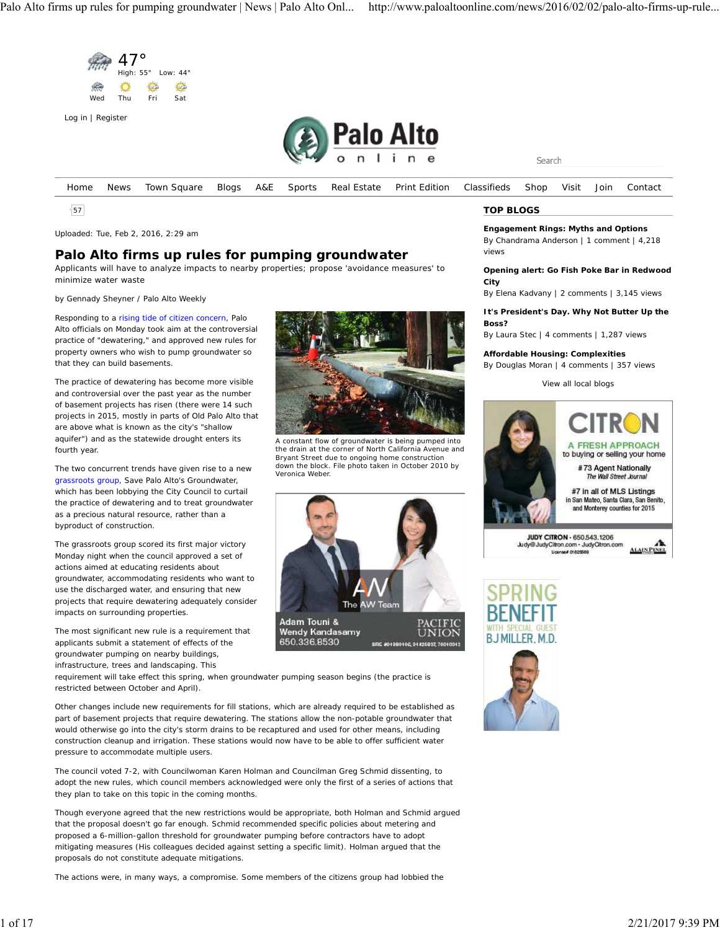

57

Uploaded: Tue, Feb 2, 2016, 2:29 am

## **Palo Alto firms up rules for pumping groundwater**

Applicants will have to analyze impacts to nearby properties; propose 'avoidance measures' to minimize water waste

by Gennady Sheyner / Palo Alto Weekly

Responding to a rising tide of citizen concern, Palo Alto officials on Monday took aim at the controversial practice of "dewatering," and approved new rules for property owners who wish to pump groundwater so that they can build basements.

The practice of dewatering has become more visible and controversial over the past year as the number of basement projects has risen (there were 14 such projects in 2015, mostly in parts of Old Palo Alto that are above what is known as the city's "shallow aquifer") and as the statewide drought enters its fourth year.

The two concurrent trends have given rise to a new grassroots group, Save Palo Alto's Groundwater, which has been lobbying the City Council to curtail the practice of dewatering and to treat groundwater as a precious natural resource, rather than a byproduct of construction.

The grassroots group scored its first major victory Monday night when the council approved a set of actions aimed at educating residents about groundwater, accommodating residents who want to use the discharged water, and ensuring that new projects that require dewatering adequately consider impacts on surrounding properties.

The most significant new rule is a requirement that applicants submit a statement of effects of the groundwater pumping on nearby buildings, infrastructure, trees and landscaping. This

A constant flow of groundwater is being pumped into the drain at the corner of North California Avenue and Bryant Street due to ongoing home construction down the block. File photo taken in October 2010 by Veronica Weber



requirement will take effect this spring, when groundwater pumping season begins (the practice is restricted between October and April).

Other changes include new requirements for fill stations, which are already required to be established as part of basement projects that require dewatering. The stations allow the non-potable groundwater that would otherwise go into the city's storm drains to be recaptured and used for other means, including construction cleanup and irrigation. These stations would now have to be able to offer sufficient water pressure to accommodate multiple users.

The council voted 7-2, with Councilwoman Karen Holman and Councilman Greg Schmid dissenting, to adopt the new rules, which council members acknowledged were only the first of a series of actions that they plan to take on this topic in the coming months.

Though everyone agreed that the new restrictions would be appropriate, both Holman and Schmid argued that the proposal doesn't go far enough. Schmid recommended specific policies about metering and proposed a 6-million-gallon threshold for groundwater pumping before contractors have to adopt mitigating measures (His colleagues decided against setting a specific limit). Holman argued that the proposals do not constitute adequate mitigations.

The actions were, in many ways, a compromise. Some members of the citizens group had lobbied the

### **TOP BLOGS**

**Engagement Rings: Myths and Options** By Chandrama Anderson | 1 comment | 4,218 views

**Opening alert: Go Fish Poke Bar in Redwood City**

By Elena Kadvany | 2 comments | 3,145 views

**It's President's Day. Why Not Butter Up the Boss?**

By Laura Stec | 4 comments | 1,287 views

**Affordable Housing: Complexities**

By Douglas Moran | 4 comments | 357 views

View all local blogs



JUDY CITRON - 650.543.1206 Judy@JudyCitron.com - JudyCitron.com  $\overline{u}$ 

**ALAIN PINEL** 

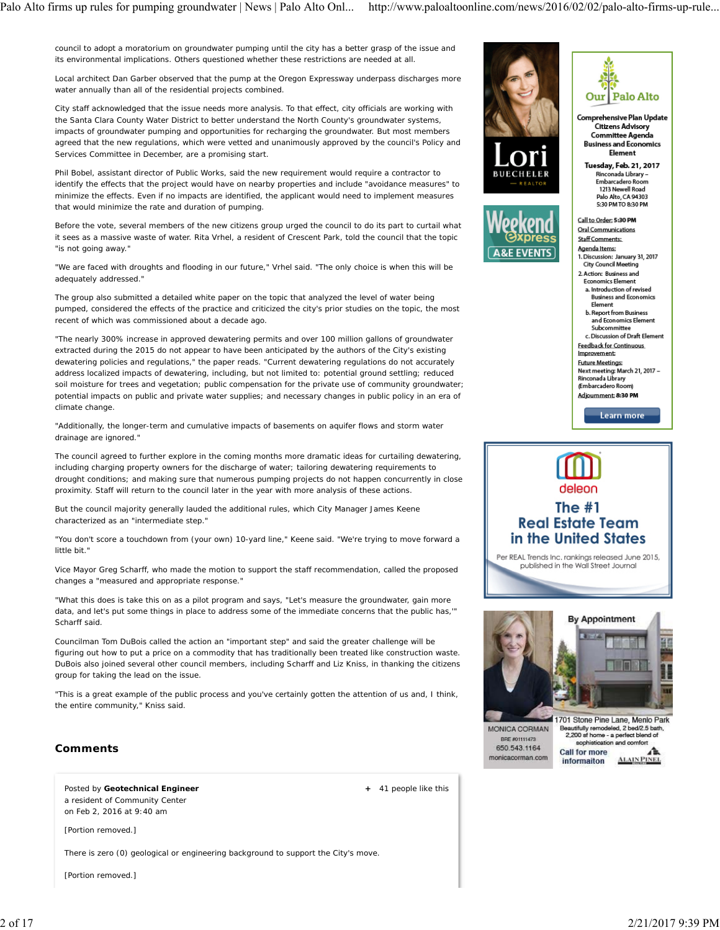council to adopt a moratorium on groundwater pumping until the city has a better grasp of the issue and its environmental implications. Others questioned whether these restrictions are needed at all.

Local architect Dan Garber observed that the pump at the Oregon Expressway underpass discharges more water annually than all of the residential projects combined.

City staff acknowledged that the issue needs more analysis. To that effect, city officials are working with the Santa Clara County Water District to better understand the North County's groundwater systems, impacts of groundwater pumping and opportunities for recharging the groundwater. But most members agreed that the new regulations, which were vetted and unanimously approved by the council's Policy and Services Committee in December, are a promising start.

Phil Bobel, assistant director of Public Works, said the new requirement would require a contractor to identify the effects that the project would have on nearby properties and include "avoidance measures" to minimize the effects. Even if no impacts are identified, the applicant would need to implement measures that would minimize the rate and duration of pumping.

Before the vote, several members of the new citizens group urged the council to do its part to curtail what it sees as a massive waste of water. Rita Vrhel, a resident of Crescent Park, told the council that the topic "is not going away."

"We are faced with droughts and flooding in our future," Vrhel said. "The only choice is when this will be adequately addressed."

The group also submitted a detailed white paper on the topic that analyzed the level of water being pumped, considered the effects of the practice and criticized the city's prior studies on the topic, the most recent of which was commissioned about a decade ago.

"The nearly 300% increase in approved dewatering permits and over 100 million gallons of groundwater extracted during the 2015 do not appear to have been anticipated by the authors of the City's existing dewatering policies and regulations," the paper reads. "Current dewatering regulations do not accurately address localized impacts of dewatering, including, but not limited to: potential ground settling; reduced soil moisture for trees and vegetation; public compensation for the private use of community groundwater; potential impacts on public and private water supplies; and necessary changes in public policy in an era of climate change.

"Additionally, the longer-term and cumulative impacts of basements on aquifer flows and storm water drainage are ignored."

The council agreed to further explore in the coming months more dramatic ideas for curtailing dewatering, including charging property owners for the discharge of water; tailoring dewatering requirements to drought conditions; and making sure that numerous pumping projects do not happen concurrently in close proximity. Staff will return to the council later in the year with more analysis of these actions.

But the council majority generally lauded the additional rules, which City Manager James Keene characterized as an "intermediate step."

"You don't score a touchdown from (your own) 10-yard line," Keene said. "We're trying to move forward a little bit."

Vice Mayor Greg Scharff, who made the motion to support the staff recommendation, called the proposed changes a "measured and appropriate response."

"What this does is take this on as a pilot program and says, "Let's measure the groundwater, gain more data, and let's put some things in place to address some of the immediate concerns that the public has,'" Scharff said.

Councilman Tom DuBois called the action an "important step" and said the greater challenge will be figuring out how to put a price on a commodity that has traditionally been treated like construction waste. DuBois also joined several other council members, including Scharff and Liz Kniss, in thanking the citizens group for taking the lead on the issue.

"This is a great example of the public process and you've certainly gotten the attention of us and, I think, the entire community," Kniss said.

### **Comments**

Posted by **Geotechnical Engineer** a resident of Community Center on Feb 2, 2016 at 9:40 am

[Portion removed.]

There is zero (0) geological or engineering background to support the City's move.

[Portion removed.]







Comprehensive Plan Update **Citizens Advisory Committee Agenda Business and Economics** Element

Tuesday, Feb. 21, 2017 Rinconada Library -Embarcadero Room 1213 Newell Road Palo Alto. CA 94303 5:30 PM TO 8:30 PM

Call to Order: 5:30 PM Oral Communications

Staff Comments:

- Agenda Items: 1. Discussion: January 31, 2017<br>City Council Meeting
- 2. Action: Business and **Economics Element** a. Introduction of revised **Business and Economics**
- Element b. Report from Business and Economics Element
- Subcommittee c. Discussion of Draft Element
- **Feedback for Continuous** Improvement
- **Future Meetings:**

Next meeting: March 21, 2017 -Rinconada Library

**Embarcadero Room** Adjournment: 8:30 PM

Learn more

# deleon The  $#1$ **Real Estate Team** in the United States

Per REAL Trends Inc. rankings released June 2015, published in the Wall Street Journal



BRE #01111473 650.543.1164 monicacorman.com

 **+** 41 people like this

leautifully remodeled, 2 bed/2.5 bat<br>2,200 sf home - a perfect blend of sophistication and comfort **Call for more ALAIN PINEL** informaiton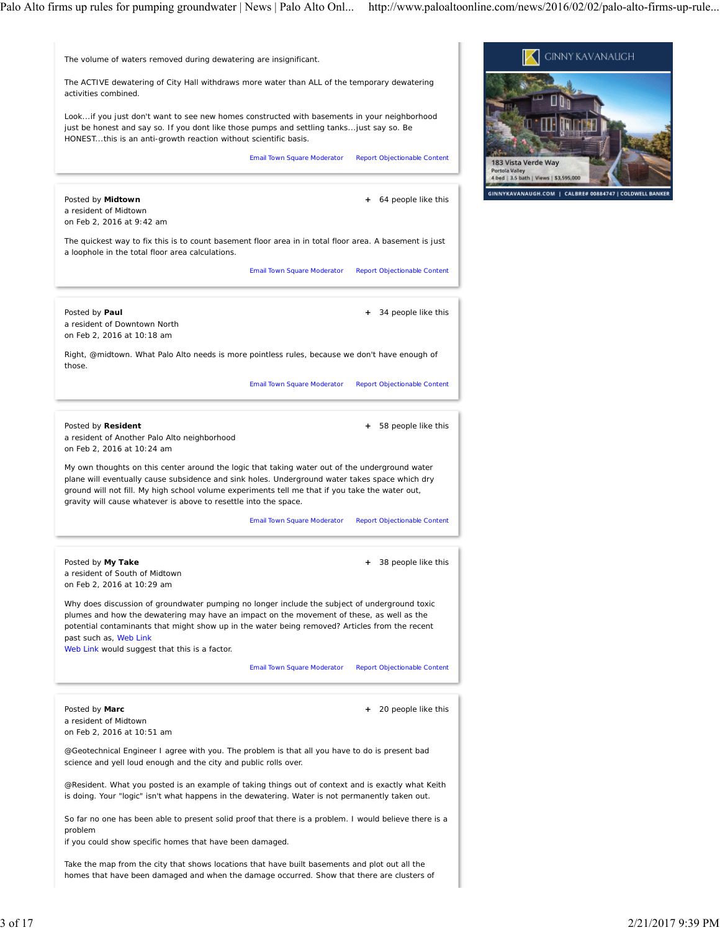Email Town Square Moderator Report Objectionable Content  **+** 64 people like this Email Town Square Moderator Report Objectionable Content  **+** 34 people like this Email Town Square Moderator Report Objectionable Content  **+** 58 people like this Email Town Square Moderator Report Objectionable Content  **+** 38 people like this Email Town Square Moderator Report Objectionable Content  **+** 20 people like this The volume of waters removed during dewatering are insignificant. The ACTIVE dewatering of City Hall withdraws more water than ALL of the temporary dewatering activities combined. Look...if you just don't want to see new homes constructed with basements in your neighborhood just be honest and say so. If you dont like those pumps and settling tanks...just say so. Be HONEST...this is an anti-growth reaction without scientific basis. Posted by **Midtown** a resident of Midtown on Feb 2, 2016 at 9:42 am The quickest way to fix this is to count basement floor area in in total floor area. A basement is just a loophole in the total floor area calculations. Posted by **Paul** a resident of Downtown North on Feb 2, 2016 at 10:18 am Right, @midtown. What Palo Alto needs is more pointless rules, because we don't have enough of those. Posted by **Resident** a resident of Another Palo Alto neighborhood on Feb 2, 2016 at 10:24 am My own thoughts on this center around the logic that taking water out of the underground water plane will eventually cause subsidence and sink holes. Underground water takes space which dry ground will not fill. My high school volume experiments tell me that if you take the water out, gravity will cause whatever is above to resettle into the space. Posted by **My Take** a resident of South of Midtown on Feb 2, 2016 at 10:29 am Why does discussion of groundwater pumping no longer include the subject of underground toxic plumes and how the dewatering may have an impact on the movement of these, as well as the potential contaminants that might show up in the water being removed? Articles from the recent past such as, Web Link Web Link would suggest that this is a factor. Posted by **Marc** a resident of Midtown on Feb 2, 2016 at 10:51 am @Geotechnical Engineer I agree with you. The problem is that all you have to do is present bad science and yell loud enough and the city and public rolls over. @Resident. What you posted is an example of taking things out of context and is exactly what Keith is doing. Your "logic" isn't what happens in the dewatering. Water is not permanently taken out. So far no one has been able to present solid proof that there is a problem. I would believe there is a problem if you could show specific homes that have been damaged.

Take the map from the city that shows locations that have built basements and plot out all the homes that have been damaged and when the damage occurred. Show that there are clusters of

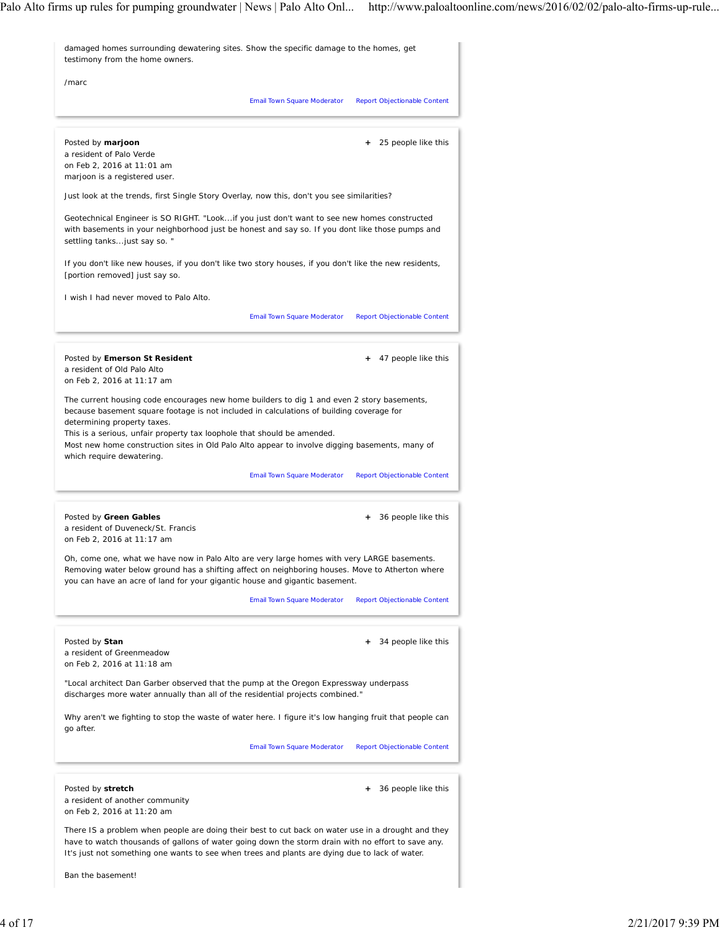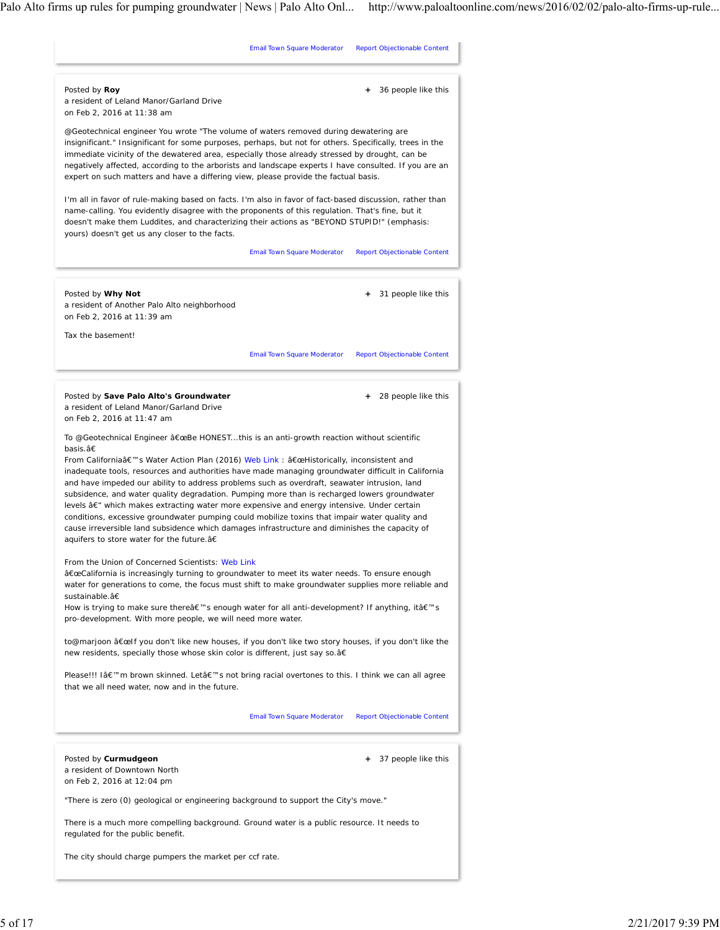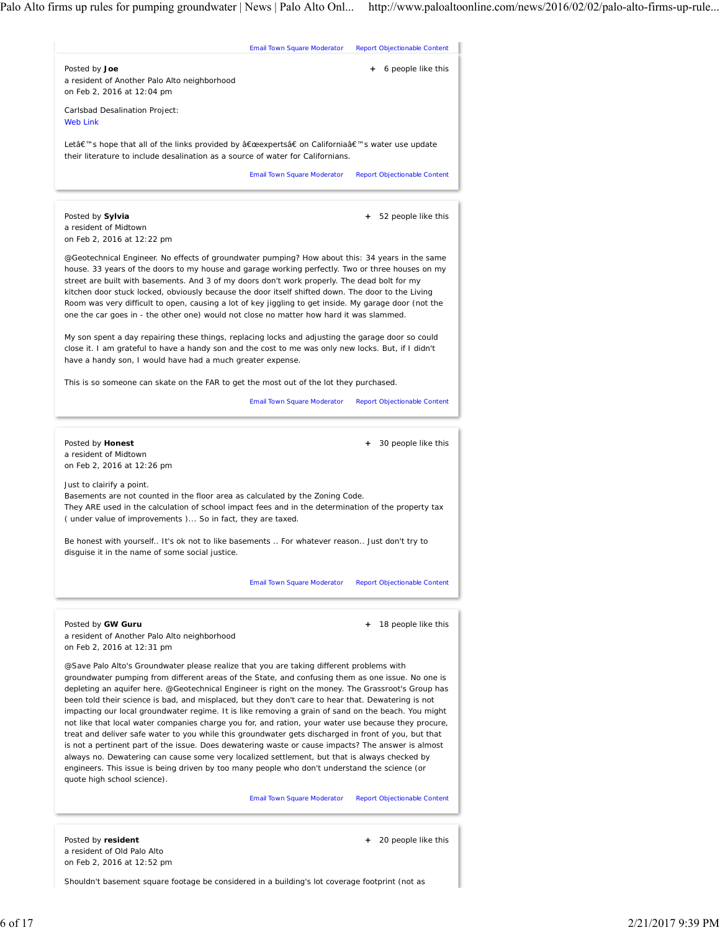

Shouldn't basement square footage be considered in a building's lot coverage footprint (not as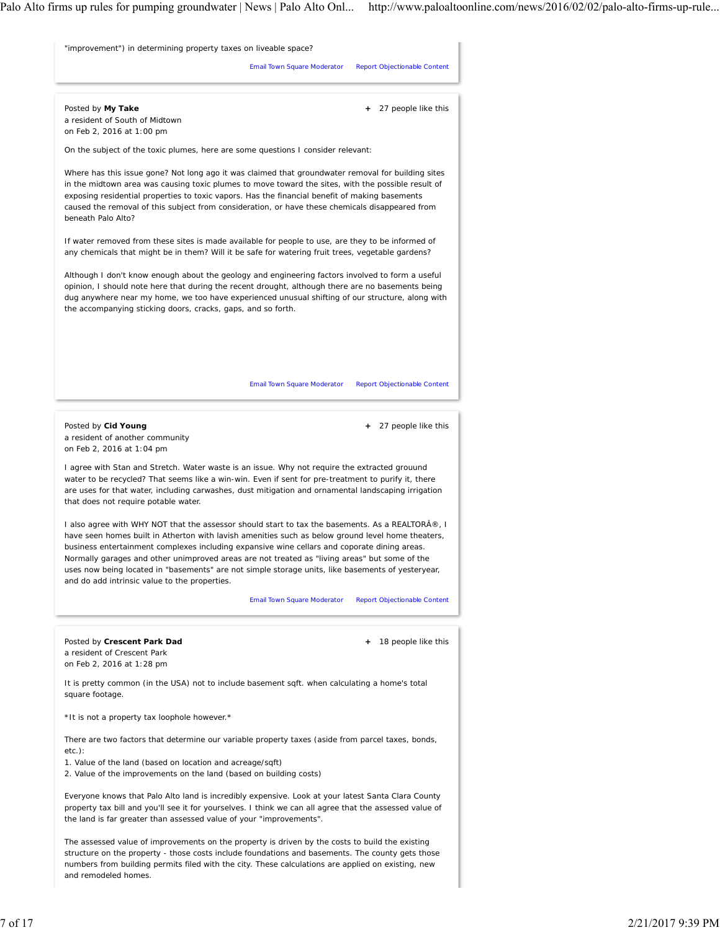

structure on the property - those costs include foundations and basements. The county gets those numbers from building permits filed with the city. These calculations are applied on existing, new and remodeled homes.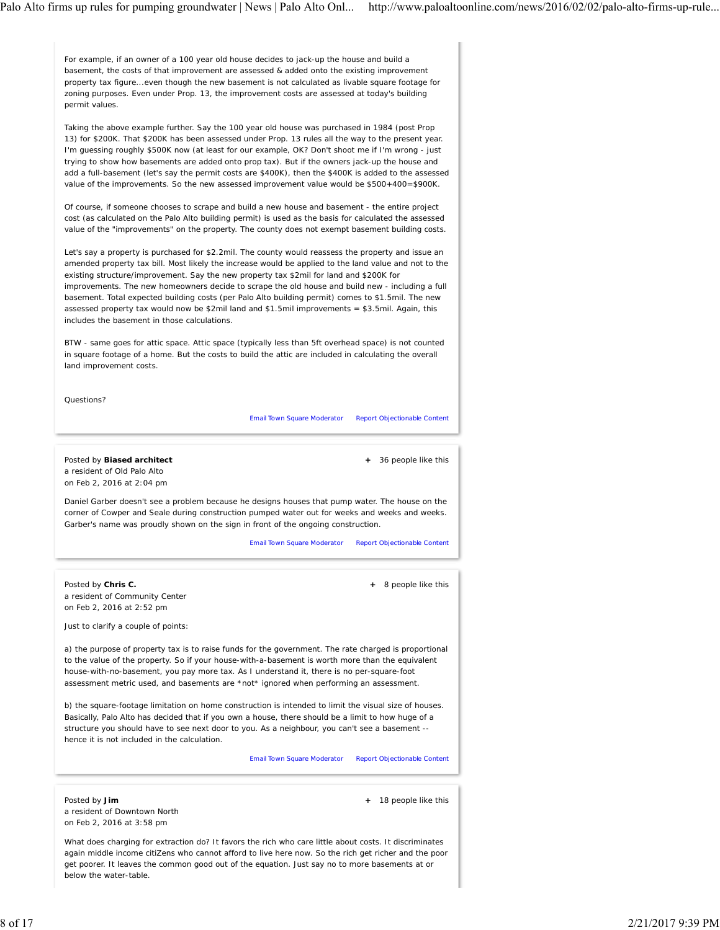For example, if an owner of a 100 year old house decides to jack-up the house and build a basement, the costs of that improvement are assessed & added onto the existing improvement property tax figure...even though the new basement is not calculated as livable square footage for zoning purposes. Even under Prop. 13, the improvement costs are assessed at today's building permit values.

Taking the above example further. Say the 100 year old house was purchased in 1984 (post Prop 13) for \$200K. That \$200K has been assessed under Prop. 13 rules all the way to the present year. I'm guessing roughly \$500K now (at least for our example, OK? Don't shoot me if I'm wrong - just trying to show how basements are added onto prop tax). But if the owners jack-up the house and add a full-basement (let's say the permit costs are \$400K), then the \$400K is added to the assessed value of the improvements. So the new assessed improvement value would be \$500+400=\$900K.

Of course, if someone chooses to scrape and build a new house and basement - the entire project cost (as calculated on the Palo Alto building permit) is used as the basis for calculated the assessed value of the "improvements" on the property. The county does not exempt basement building costs.

Let's say a property is purchased for \$2.2mil. The county would reassess the property and issue an amended property tax bill. Most likely the increase would be applied to the land value and not to the existing structure/improvement. Say the new property tax \$2mil for land and \$200K for improvements. The new homeowners decide to scrape the old house and build new - including a full basement. Total expected building costs (per Palo Alto building permit) comes to \$1.5mil. The new assessed property tax would now be \$2mil land and \$1.5mil improvements = \$3.5mil. Again, this includes the basement in those calculations.

BTW - same goes for attic space. Attic space (typically less than 5ft overhead space) is not counted in square footage of a home. But the costs to build the attic are included in calculating the overall land improvement costs.

Questions?

Email Town Square Moderator Report Objectionable Content

Posted by **Biased architect** a resident of Old Palo Alto on Feb 2, 2016 at 2:04 pm

 **+** 36 people like this

 **+** 8 people like this

Daniel Garber doesn't see a problem because he designs houses that pump water. The house on the corner of Cowper and Seale during construction pumped water out for weeks and weeks and weeks. Garber's name was proudly shown on the sign in front of the ongoing construction.

Email Town Square Moderator Report Objectionable Content

Posted by **Chris C.** a resident of Community Center on Feb 2, 2016 at 2:52 pm

Just to clarify a couple of points:

a) the purpose of property tax is to raise funds for the government. The rate charged is proportional to the value of the property. So if your house-with-a-basement is worth more than the equivalent house-with-no-basement, you pay more tax. As I understand it, there is no per-square-foot assessment metric used, and basements are \*not\* ignored when performing an assessment.

b) the square-footage limitation on home construction is intended to limit the visual size of houses. Basically, Palo Alto has decided that if you own a house, there should be a limit to how huge of a structure you should have to see next door to you. As a neighbour, you can't see a basement - hence it is not included in the calculation.

Email Town Square Moderator Report Objectionable Content

Posted by **Jim** a resident of Downtown North on Feb 2, 2016 at 3:58 pm

 **+** 18 people like this

What does charging for extraction do? It favors the rich who care little about costs. It discriminates again middle income citiZens who cannot afford to live here now. So the rich get richer and the poor get poorer. It leaves the common good out of the equation. Just say no to more basements at or below the water-table.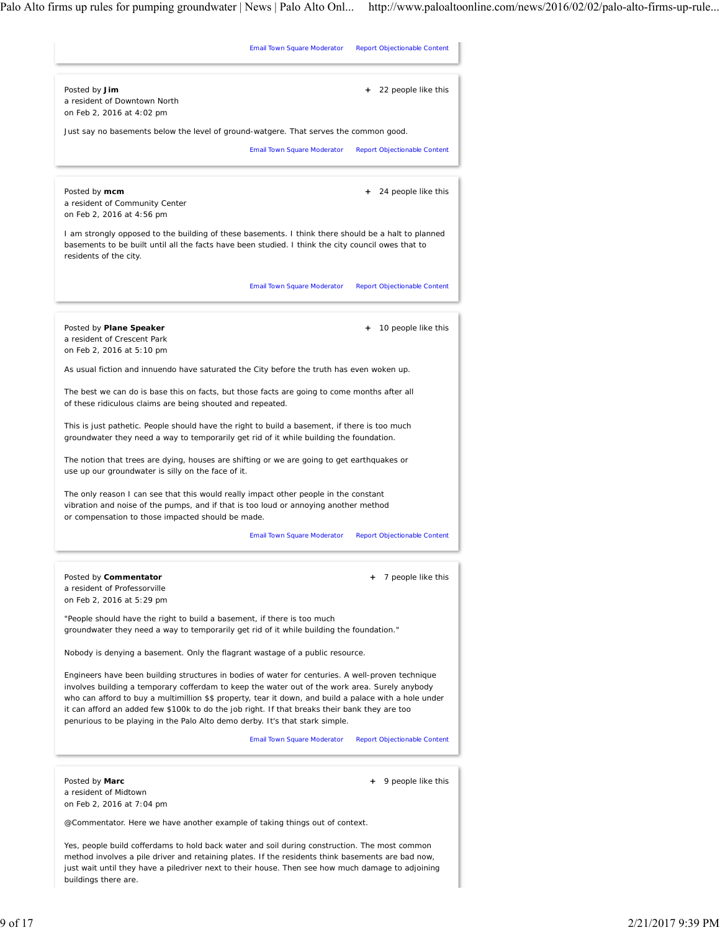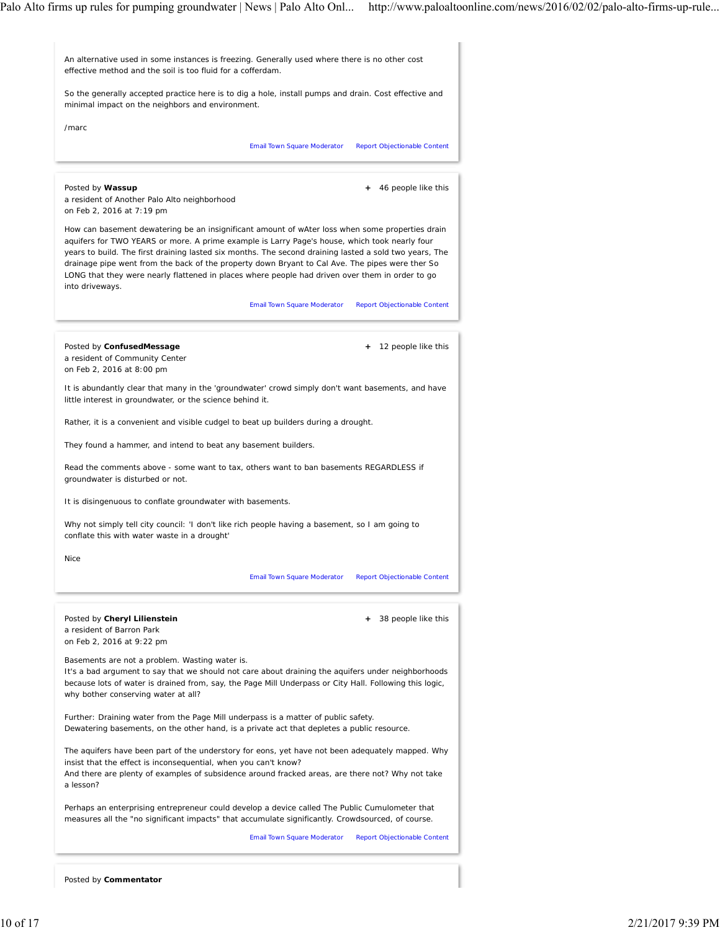

Posted by **Commentator**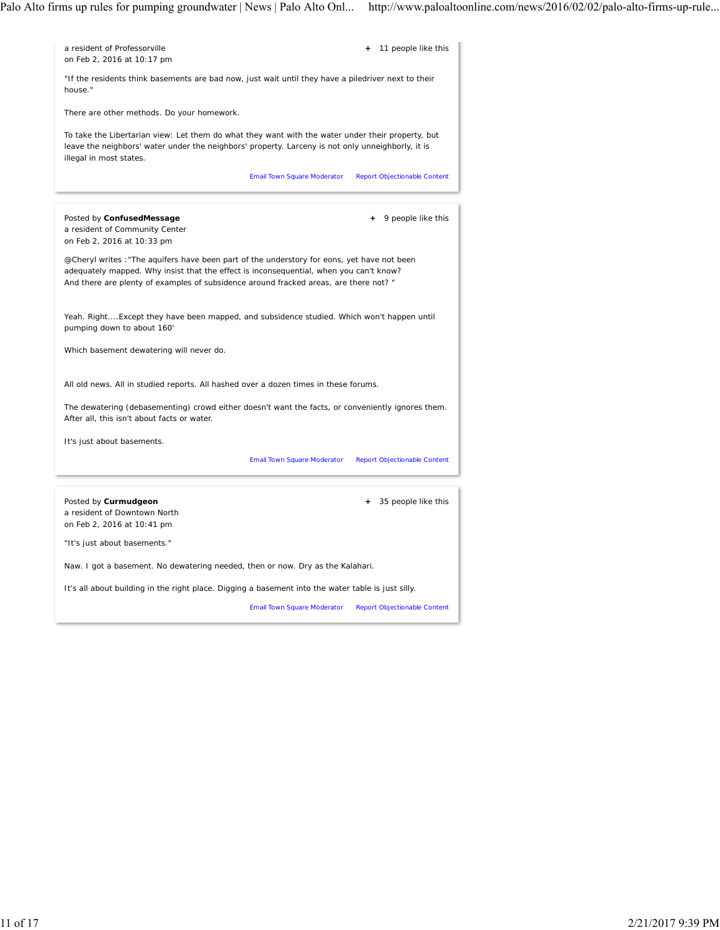| a resident of Professorville<br>on Feb 2, 2016 at 10:17 pm                                                                                                                                                                                                                     | + 11 people like this                                                                               |
|--------------------------------------------------------------------------------------------------------------------------------------------------------------------------------------------------------------------------------------------------------------------------------|-----------------------------------------------------------------------------------------------------|
| house."                                                                                                                                                                                                                                                                        | "If the residents think basements are bad now, just wait until they have a piledriver next to their |
| There are other methods. Do your homework.                                                                                                                                                                                                                                     |                                                                                                     |
| To take the Libertarian view: Let them do what they want with the water under their property, but<br>leave the neighbors' water under the neighbors' property. Larceny is not only unneighborly, it is<br>illegal in most states.                                              |                                                                                                     |
|                                                                                                                                                                                                                                                                                | <b>Report Objectionable Content</b><br>Email Town Square Moderator                                  |
|                                                                                                                                                                                                                                                                                |                                                                                                     |
| Posted by ConfusedMessage<br>a resident of Community Center<br>on Feb 2, 2016 at 10:33 pm                                                                                                                                                                                      | 9 people like this                                                                                  |
| @Cheryl writes : "The aquifers have been part of the understory for eons, yet have not been<br>adequately mapped. Why insist that the effect is inconsequential, when you can't know?<br>And there are plenty of examples of subsidence around fracked areas, are there not? " |                                                                                                     |
| Yeah. RightExcept they have been mapped, and subsidence studied. Which won't happen until<br>pumping down to about 160'                                                                                                                                                        |                                                                                                     |
| Which basement dewatering will never do.                                                                                                                                                                                                                                       |                                                                                                     |
| All old news. All in studied reports. All hashed over a dozen times in these forums.                                                                                                                                                                                           |                                                                                                     |
| The dewatering (debasementing) crowd either doesn't want the facts, or conveniently ignores them.<br>After all, this isn't about facts or water.                                                                                                                               |                                                                                                     |
| It's just about basements.                                                                                                                                                                                                                                                     |                                                                                                     |
|                                                                                                                                                                                                                                                                                | Email Town Square Moderator<br>Report Objectionable Content                                         |
|                                                                                                                                                                                                                                                                                |                                                                                                     |
| Posted by Curmudgeon<br>a resident of Downtown North<br>on Feb 2, 2016 at 10:41 pm                                                                                                                                                                                             | + 35 people like this                                                                               |
| "It's just about basements."                                                                                                                                                                                                                                                   |                                                                                                     |
| Naw. I got a basement. No dewatering needed, then or now. Dry as the Kalahari.                                                                                                                                                                                                 |                                                                                                     |
| It's all about building in the right place. Digging a basement into the water table is just silly.                                                                                                                                                                             |                                                                                                     |
|                                                                                                                                                                                                                                                                                | <b>Email Town Square Moderator</b><br><b>Report Objectionable Content</b>                           |
|                                                                                                                                                                                                                                                                                |                                                                                                     |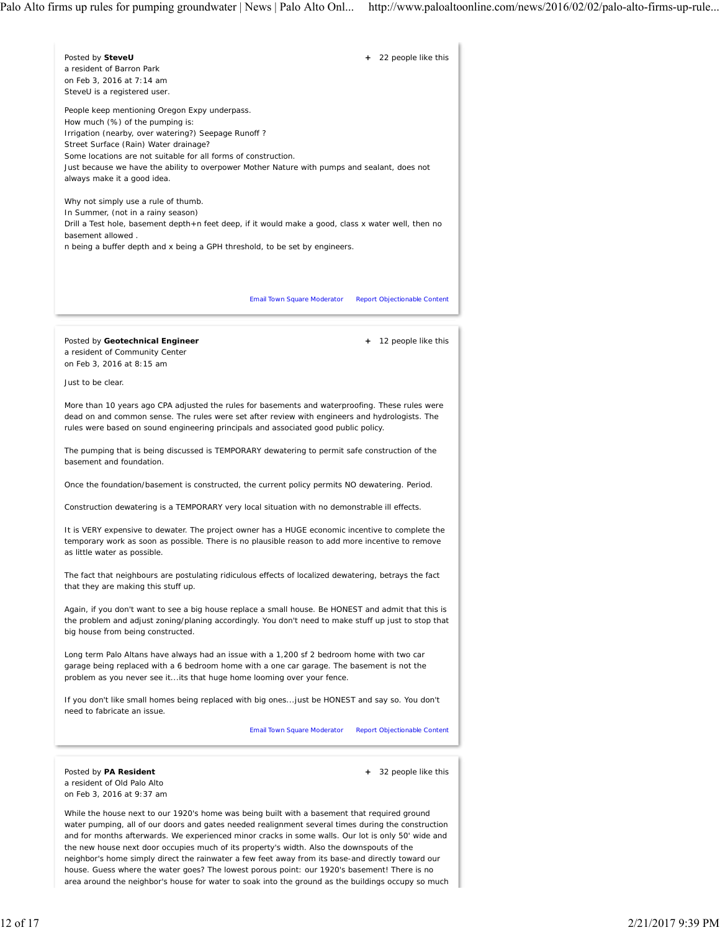

and for months afterwards. We experienced minor cracks in some walls. Our lot is only 50' wide and the new house next door occupies much of its property's width. Also the downspouts of the neighbor's home simply direct the rainwater a few feet away from its base-and directly toward our house. Guess where the water goes? The lowest porous point: our 1920's basement! There is no area around the neighbor's house for water to soak into the ground as the buildings occupy so much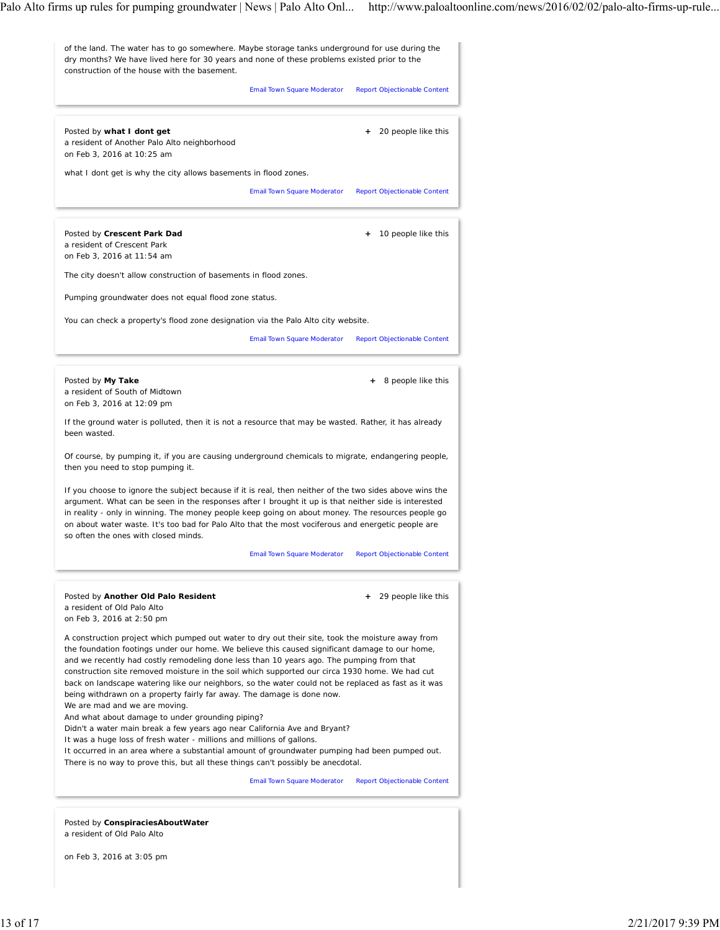

on Feb 3, 2016 at 3:05 pm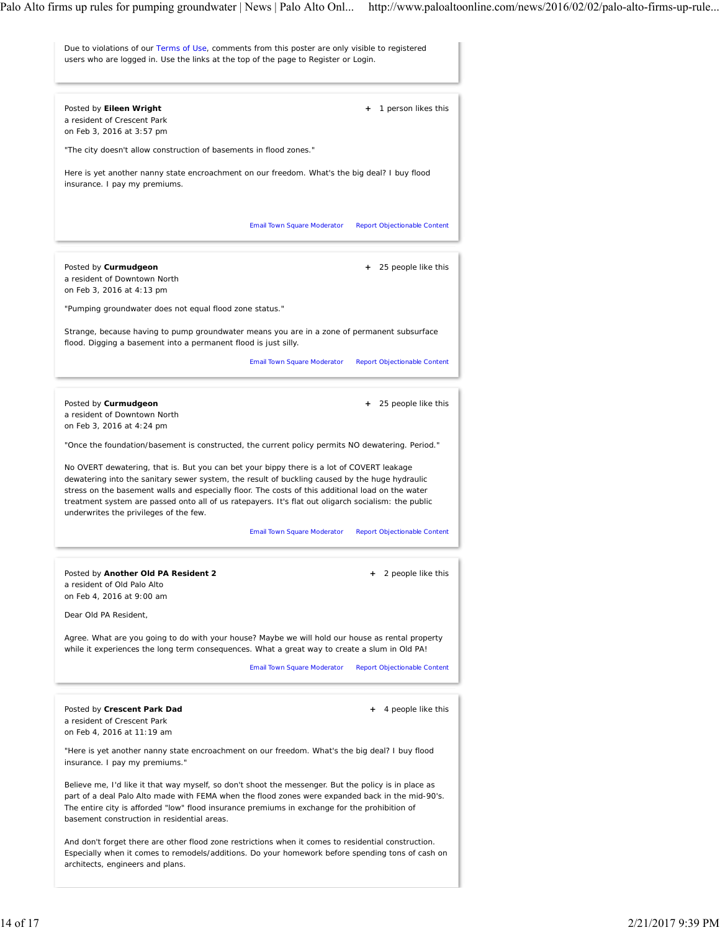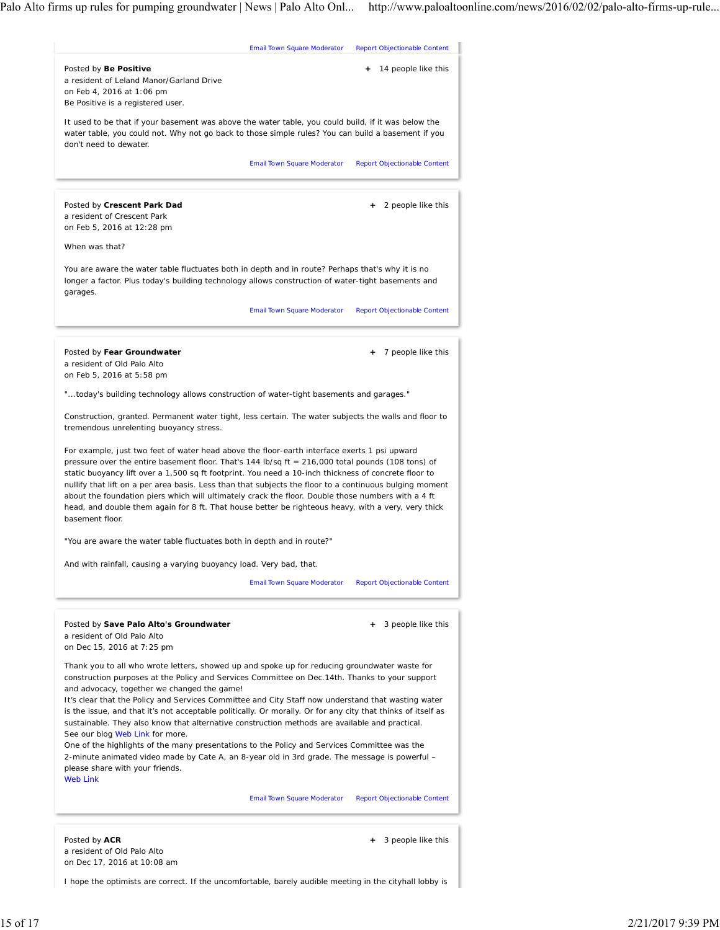

I hope the optimists are correct. If the uncomfortable, barely audible meeting in the cityhall lobby is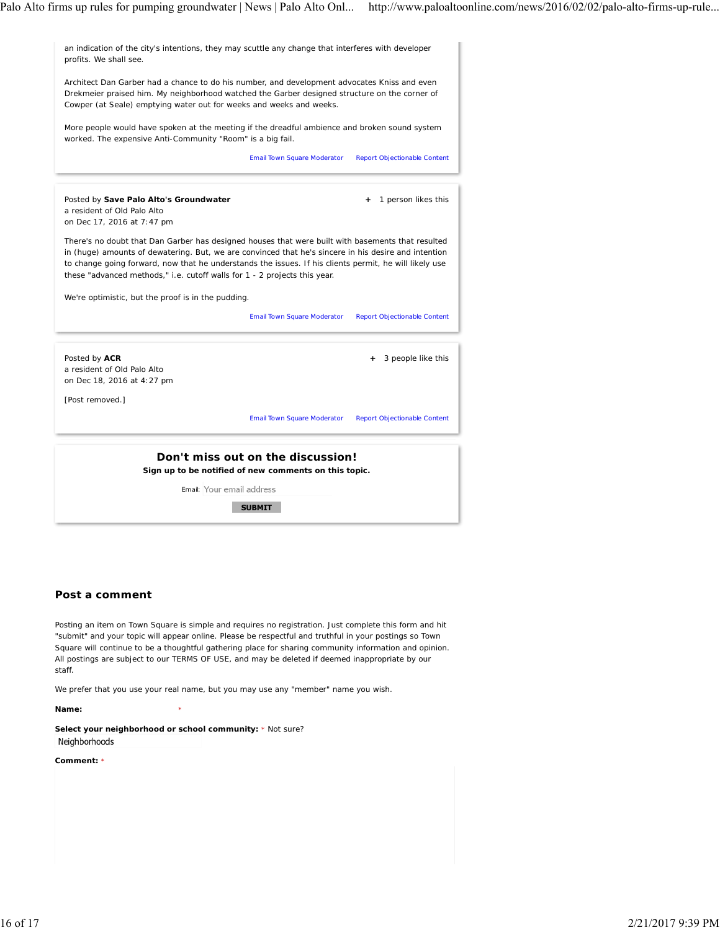

## **Post a comment**

Posting an item on Town Square is simple and requires no registration. Just complete this form and hit "submit" and your topic will appear online. Please be respectful and truthful in your postings so Town Square will continue to be a thoughtful gathering place for sharing community information and opinion. All postings are subject to our TERMS OF USE, and may be deleted if deemed inappropriate by our staff.

We prefer that you use your real name, but you may use any "member" name you wish.

**Name:** \*

**Select your neighborhood or school community:** \* Not sure? Neighborhoods

**Comment:** \*